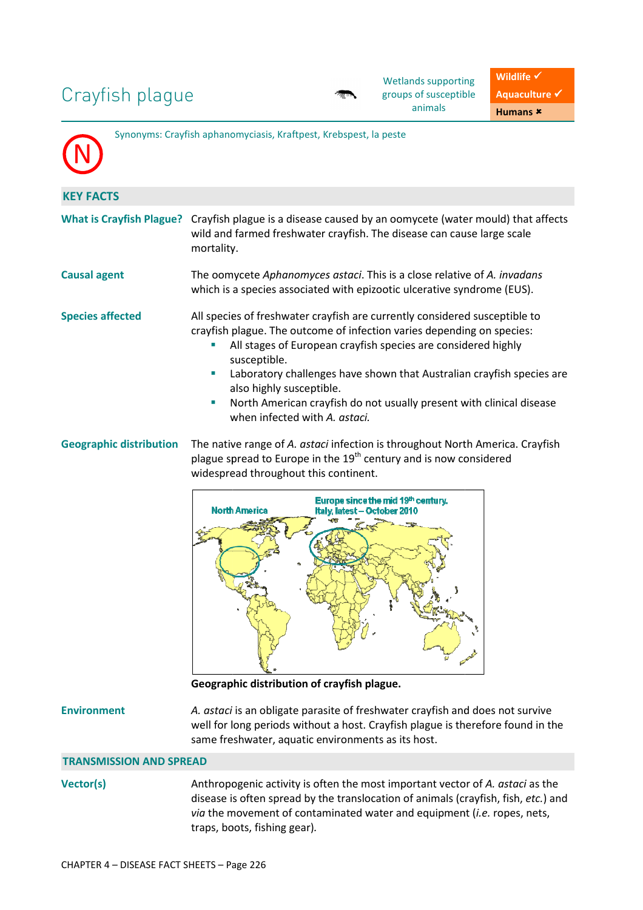# Crayfish plague

| Synonyms: Crayfish aphanomyciasis, Kraftpest, Krebspest, la peste |                                                                                                                                                                                                                                                                                                                                                                                                                                                                     |  |  |  |
|-------------------------------------------------------------------|---------------------------------------------------------------------------------------------------------------------------------------------------------------------------------------------------------------------------------------------------------------------------------------------------------------------------------------------------------------------------------------------------------------------------------------------------------------------|--|--|--|
| <b>KEY FACTS</b>                                                  |                                                                                                                                                                                                                                                                                                                                                                                                                                                                     |  |  |  |
| <b>What is Crayfish Plague?</b>                                   | Crayfish plague is a disease caused by an oomycete (water mould) that affects<br>wild and farmed freshwater crayfish. The disease can cause large scale<br>mortality.                                                                                                                                                                                                                                                                                               |  |  |  |
| <b>Causal agent</b>                                               | The oomycete Aphanomyces astaci. This is a close relative of A. invadans<br>which is a species associated with epizootic ulcerative syndrome (EUS).                                                                                                                                                                                                                                                                                                                 |  |  |  |
| <b>Species affected</b>                                           | All species of freshwater crayfish are currently considered susceptible to<br>crayfish plague. The outcome of infection varies depending on species:<br>All stages of European crayfish species are considered highly<br>ш<br>susceptible.<br>Laboratory challenges have shown that Australian crayfish species are<br>ш<br>also highly susceptible.<br>North American crayfish do not usually present with clinical disease<br>×,<br>when infected with A. astaci. |  |  |  |
| <b>Geographic distribution</b>                                    | The native range of A. astaci infection is throughout North America. Crayfish<br>plague spread to Europe in the $19th$ century and is now considered<br>widespread throughout this continent.                                                                                                                                                                                                                                                                       |  |  |  |



**Geographic distribution of crayfish plague.** 

# **Environment** *A. astaci*

well for long periods without a host. Crayfish plague is therefore found in the same freshwater freshwater, aquatic environments as its host. is an obligate parasite of freshwater crayfish and does not survive

# **TRANSMISSION AND SPREAD**

Vector(s) Methropogenic activity is often the most important vector of A. astaci as the disease is often spread by the translocation of animals (crayfish (crayfish, fish, *etc.*) and *via* the movement of contaminated water and equipment ( *i.e.* ropes, nets, traps, boots, fishing gear) *.*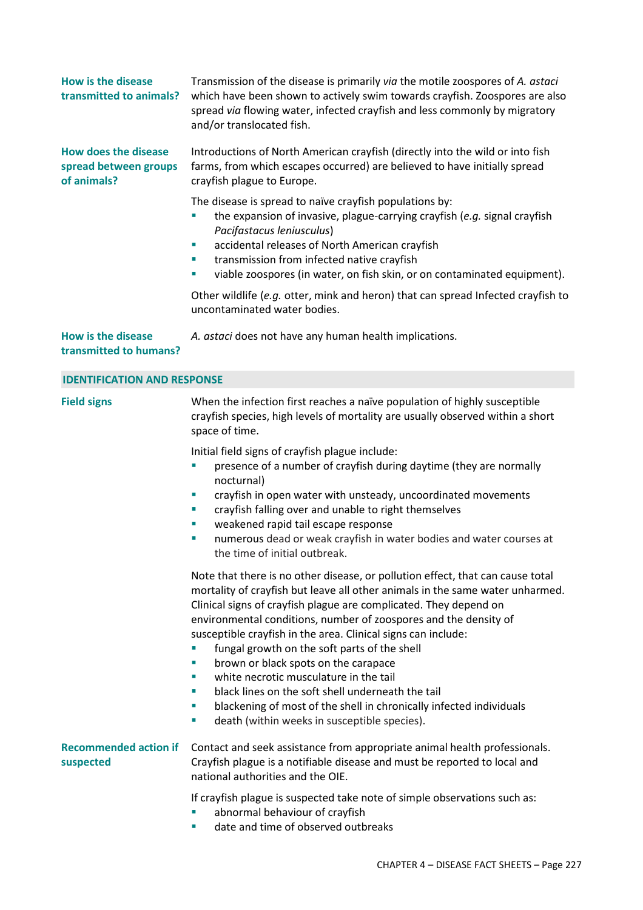| <b>How is the disease</b><br>transmitted to animals?                | Transmission of the disease is primarily via the motile zoospores of A. astaci<br>which have been shown to actively swim towards crayfish. Zoospores are also<br>spread via flowing water, infected crayfish and less commonly by migratory<br>and/or translocated fish.                                                                                                                                                                                                                                                                                                                                                                                                                                         |  |  |
|---------------------------------------------------------------------|------------------------------------------------------------------------------------------------------------------------------------------------------------------------------------------------------------------------------------------------------------------------------------------------------------------------------------------------------------------------------------------------------------------------------------------------------------------------------------------------------------------------------------------------------------------------------------------------------------------------------------------------------------------------------------------------------------------|--|--|
| <b>How does the disease</b><br>spread between groups<br>of animals? | Introductions of North American crayfish (directly into the wild or into fish<br>farms, from which escapes occurred) are believed to have initially spread<br>crayfish plague to Europe.                                                                                                                                                                                                                                                                                                                                                                                                                                                                                                                         |  |  |
|                                                                     | The disease is spread to naïve crayfish populations by:<br>the expansion of invasive, plague-carrying crayfish (e.g. signal crayfish<br>Pacifastacus leniusculus)<br>accidental releases of North American crayfish<br>I.<br>transmission from infected native crayfish<br>ш<br>viable zoospores (in water, on fish skin, or on contaminated equipment).<br>×,                                                                                                                                                                                                                                                                                                                                                   |  |  |
|                                                                     | Other wildlife (e.g. otter, mink and heron) that can spread Infected crayfish to<br>uncontaminated water bodies.                                                                                                                                                                                                                                                                                                                                                                                                                                                                                                                                                                                                 |  |  |
| <b>How is the disease</b><br>transmitted to humans?                 | A. astaci does not have any human health implications.                                                                                                                                                                                                                                                                                                                                                                                                                                                                                                                                                                                                                                                           |  |  |
| <b>IDENTIFICATION AND RESPONSE</b>                                  |                                                                                                                                                                                                                                                                                                                                                                                                                                                                                                                                                                                                                                                                                                                  |  |  |
| <b>Field signs</b>                                                  | When the infection first reaches a naïve population of highly susceptible<br>crayfish species, high levels of mortality are usually observed within a short<br>space of time.                                                                                                                                                                                                                                                                                                                                                                                                                                                                                                                                    |  |  |
|                                                                     | Initial field signs of crayfish plague include:<br>presence of a number of crayfish during daytime (they are normally<br>I.<br>nocturnal)<br>crayfish in open water with unsteady, uncoordinated movements<br>$\mathcal{L}_{\mathcal{A}}$<br>crayfish falling over and unable to right themselves<br>$\mathcal{L}_{\mathcal{A}}$<br>weakened rapid tail escape response<br>×<br>numerous dead or weak crayfish in water bodies and water courses at<br>×<br>the time of initial outbreak.                                                                                                                                                                                                                        |  |  |
|                                                                     | Note that there is no other disease, or pollution effect, that can cause total<br>mortality of crayfish but leave all other animals in the same water unharmed.<br>Clinical signs of crayfish plague are complicated. They depend on<br>environmental conditions, number of zoospores and the density of<br>susceptible crayfish in the area. Clinical signs can include:<br>fungal growth on the soft parts of the shell<br>brown or black spots on the carapace<br>ш<br>white necrotic musculature in the tail<br>ш<br>black lines on the soft shell underneath the tail<br>×<br>blackening of most of the shell in chronically infected individuals<br>×<br>death (within weeks in susceptible species).<br>ш |  |  |
| <b>Recommended action if</b><br>suspected                           | Contact and seek assistance from appropriate animal health professionals.<br>Crayfish plague is a notifiable disease and must be reported to local and<br>national authorities and the OIE.                                                                                                                                                                                                                                                                                                                                                                                                                                                                                                                      |  |  |
|                                                                     | If crayfish plague is suspected take note of simple observations such as:<br>abnormal behaviour of crayfish<br>date and time of observed outbreaks<br>п                                                                                                                                                                                                                                                                                                                                                                                                                                                                                                                                                          |  |  |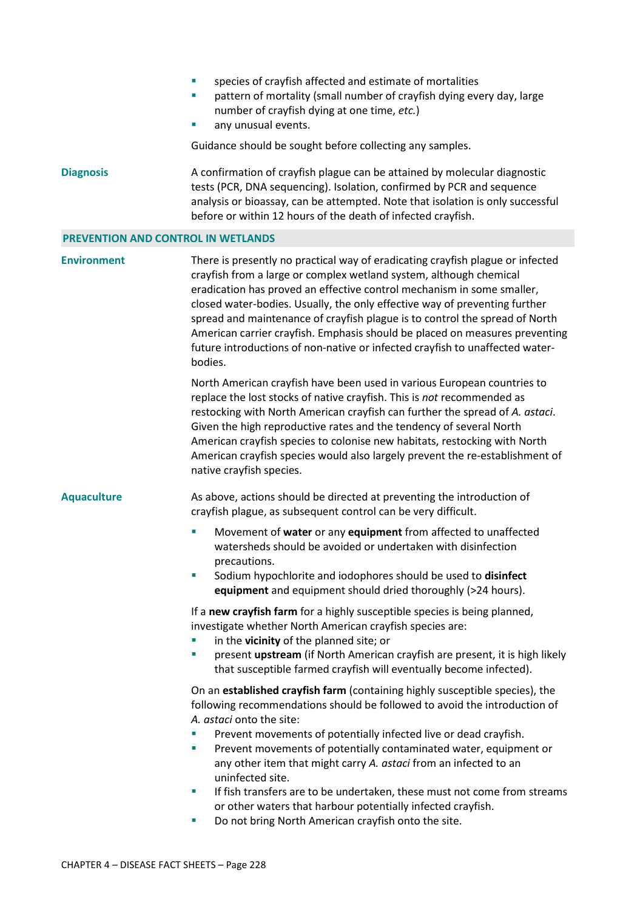- species of crayfish affected and estimate of mortalities
- pattern of mortality (small number of crayfish dying every day, large number of crayfish dying at one time, *etc.*)
- any unusual events.

Guidance should be sought before collecting any samples.

**Diagnosis** A confirmation of crayfish plague can be attained by molecular diagnostic tests (PCR, DNA sequencing). Isolation, confirmed by PCR and sequence analysis or bioassay, can be attempted. Note that isolation is only successful before or within 12 hours of the death of infected crayfish.

### **PREVENTION AND CONTROL IN WETLANDS**

**Environment** There is presently no practical way of eradicating crayfish plague or infected crayfish from a large or complex wetland system, although chemical eradication has proved an effective control mechanism in some smaller, closed water-bodies. Usually, the only effective way of preventing further spread and maintenance of crayfish plague is to control the spread of North American carrier crayfish. Emphasis should be placed on measures preventing future introductions of non-native or infected crayfish to unaffected waterbodies.

> North American crayfish have been used in various European countries to replace the lost stocks of native crayfish. This is *not* recommended as restocking with North American crayfish can further the spread of *A. astaci*. Given the high reproductive rates and the tendency of several North American crayfish species to colonise new habitats, restocking with North American crayfish species would also largely prevent the re-establishment of native crayfish species.

**Aquaculture** As above, actions should be directed at preventing the introduction of crayfish plague, as subsequent control can be very difficult.

- Movement of **water** or any **equipment** from affected to unaffected watersheds should be avoided or undertaken with disinfection precautions.
- Sodium hypochlorite and iodophores should be used to **disinfect equipment** and equipment should dried thoroughly (>24 hours).

If a **new crayfish farm** for a highly susceptible species is being planned, investigate whether North American crayfish species are:

- in the **vicinity** of the planned site; or
- present **upstream** (if North American crayfish are present, it is high likely that susceptible farmed crayfish will eventually become infected).

On an **established crayfish farm** (containing highly susceptible species), the following recommendations should be followed to avoid the introduction of *A. astaci* onto the site:

- Prevent movements of potentially infected live or dead crayfish.
- Prevent movements of potentially contaminated water, equipment or any other item that might carry *A. astaci* from an infected to an uninfected site.
- If fish transfers are to be undertaken, these must not come from streams or other waters that harbour potentially infected crayfish.
- Do not bring North American crayfish onto the site.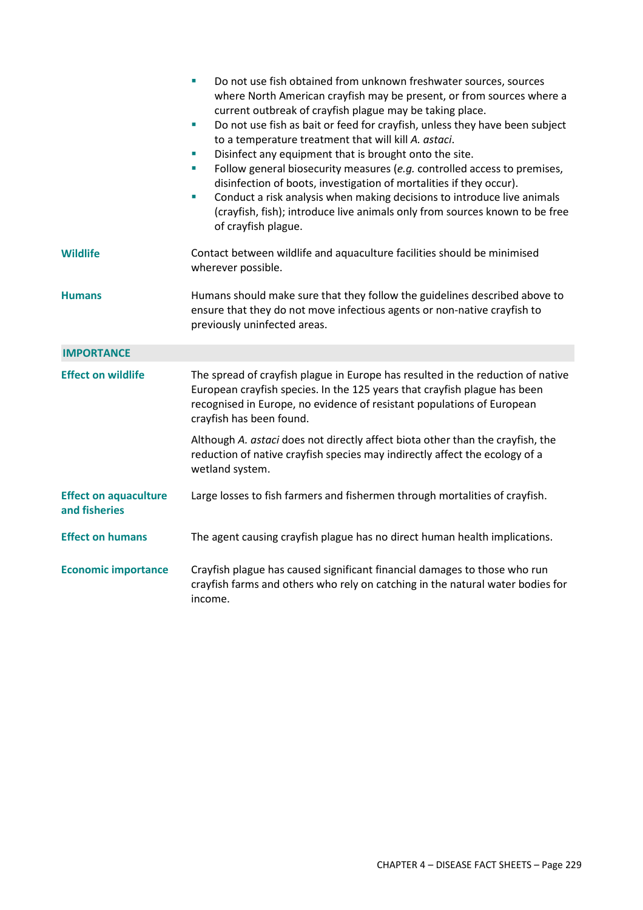|                                               | Do not use fish obtained from unknown freshwater sources, sources<br>$\blacksquare$<br>where North American crayfish may be present, or from sources where a<br>current outbreak of crayfish plague may be taking place.<br>Do not use fish as bait or feed for crayfish, unless they have been subject<br>a.<br>to a temperature treatment that will kill A. astaci.<br>Disinfect any equipment that is brought onto the site.<br>$\mathcal{L}_{\mathcal{A}}$<br>Follow general biosecurity measures (e.g. controlled access to premises,<br>$\overline{\phantom{a}}$<br>disinfection of boots, investigation of mortalities if they occur).<br>Conduct a risk analysis when making decisions to introduce live animals<br>$\overline{\phantom{a}}$<br>(crayfish, fish); introduce live animals only from sources known to be free<br>of crayfish plague. |  |  |
|-----------------------------------------------|------------------------------------------------------------------------------------------------------------------------------------------------------------------------------------------------------------------------------------------------------------------------------------------------------------------------------------------------------------------------------------------------------------------------------------------------------------------------------------------------------------------------------------------------------------------------------------------------------------------------------------------------------------------------------------------------------------------------------------------------------------------------------------------------------------------------------------------------------------|--|--|
| <b>Wildlife</b>                               | Contact between wildlife and aquaculture facilities should be minimised<br>wherever possible.                                                                                                                                                                                                                                                                                                                                                                                                                                                                                                                                                                                                                                                                                                                                                              |  |  |
| <b>Humans</b>                                 | Humans should make sure that they follow the guidelines described above to<br>ensure that they do not move infectious agents or non-native crayfish to<br>previously uninfected areas.                                                                                                                                                                                                                                                                                                                                                                                                                                                                                                                                                                                                                                                                     |  |  |
| <b>IMPORTANCE</b>                             |                                                                                                                                                                                                                                                                                                                                                                                                                                                                                                                                                                                                                                                                                                                                                                                                                                                            |  |  |
| <b>Effect on wildlife</b>                     | The spread of crayfish plague in Europe has resulted in the reduction of native<br>European crayfish species. In the 125 years that crayfish plague has been<br>recognised in Europe, no evidence of resistant populations of European<br>crayfish has been found.                                                                                                                                                                                                                                                                                                                                                                                                                                                                                                                                                                                         |  |  |
|                                               | Although A. astaci does not directly affect biota other than the crayfish, the<br>reduction of native crayfish species may indirectly affect the ecology of a<br>wetland system.                                                                                                                                                                                                                                                                                                                                                                                                                                                                                                                                                                                                                                                                           |  |  |
| <b>Effect on aquaculture</b><br>and fisheries | Large losses to fish farmers and fishermen through mortalities of crayfish.                                                                                                                                                                                                                                                                                                                                                                                                                                                                                                                                                                                                                                                                                                                                                                                |  |  |
| <b>Effect on humans</b>                       | The agent causing crayfish plague has no direct human health implications.                                                                                                                                                                                                                                                                                                                                                                                                                                                                                                                                                                                                                                                                                                                                                                                 |  |  |
| <b>Economic importance</b>                    | Crayfish plague has caused significant financial damages to those who run<br>crayfish farms and others who rely on catching in the natural water bodies for<br>income.                                                                                                                                                                                                                                                                                                                                                                                                                                                                                                                                                                                                                                                                                     |  |  |